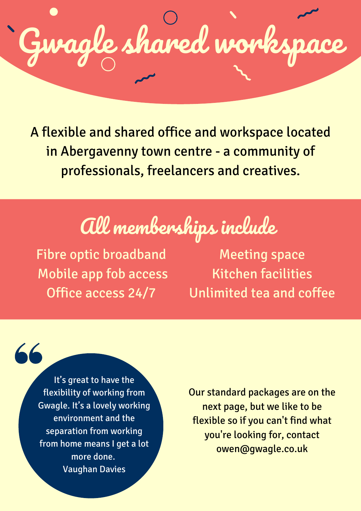Gwagle shared works

A flexible and shared office and workspace located in Abergavenny town centre - a community of professionals, freelancers and creatives.

## All memberships include

Fibre optic broadband Mobile app fob access Office access 24/7

Meeting space Kitchen facilities Unlimited tea and coffee

It's great to have the flexibility of working from Gwagle. It's a lovely working environment and the separation from working from home means I get a lot more done. Vaughan Davies

 $66$ 

Our standard packages are on the next page, but we like to be flexible so if you can't find what you're looking for, contact owen@gwagle.co.uk